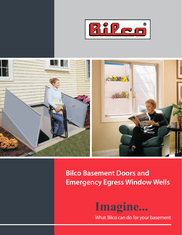



**Bilco Basement Doors and Emergency Egress Window Wells**



What Bilco can do for your basement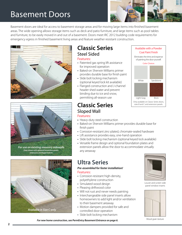## Basement Doors



White Sandstone

Available with a Powder Coat Paint Finish Eliminates the time and expense of painting the door yourself. Color Choices

Light Gray Brick

Only available on Classic Series doors, sizes B and C and extension panels.

Basement doors are ideal for access to basement storage areas and for moving large items into finished basement areas. The wide opening allows storage items such as deck and patio furniture, and large items such as pool tables and furniture, to be easily moved in and out of a basement. Doors meet IRC 2012 building code requirements for emergency egress in finished basement living areas and feature weather resistant construction.







## **Classic Series** Steel Sided

#### Features:

- **•** Patented gas spring lift assistance for improved operation
- **•** Baked-on Sherwin Williams primer provides durable base for finish paint
- **•** Slide bolt locking mechanism (optional keyed lock kit available)
- Flanged construction and J-channel header shed water and prevent binding due to ice and snow, permitting all-season use

### **Classic Series** Sloped Wall Features:

- **•** Heavy-duty steel construction
- **•** Baked-on Sherwin Williams primer provides durable base for finish paint
- **•** Corrosion-resistant zinc-plated, chromate-sealed hardware
- 
- 
- **•** Versatile frame design and optional foundation plates and extension panels allow the door to accommodate virtually any areaway

## **Ultra Series**

#### *Pre-assembled for faster installation!*  Features:

- **•** Corrosion-resistant high-density, polyethylene construction
- **•** Simulated wood design
- **•** Pleasing driftwood color
- **•** Will not rust and never needs painting
- Interchangeable side panel inserts allow homeowners to add light and/or ventilation to their basement areaway
- **•** Motion dampers provided for safe and controlled door operation
- **•** Slide bolt locking mechanism



Louver and screen side panel window inserts



- 
- 
- 
- **•** Lift assistance provides easy, one-hand operation
- **•** Slide bolt locking mechanism (optional keyed lock available)
- 

Wood grain texture *For new home construction, see PermEntry Basement Entrance on page 6.*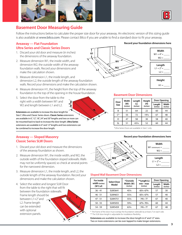



### **Basement Door Measuring Guide**

Follow the instructions below to calculate the proper size door for your areaway. An electronic version of this sizing guide is also available at www.bilco.com. Please contact Bilco if you are unable to find a standard door to fit your areaway.

**W**

### **Areaway — Flat Foundation Ultra Series and Classic Series Doors**

- 1. Discard your old door and measure (in inches) the dimensions of the areaway foundation.
- 2. Measure dimension W1, the inside width, and dimension W2, the outside width of the areaway foundation walls. Record your dimensions and make the calculation shown.
- 3. Measure dimension L1, the inside length, and dimension L2, the outside length of the areaway foundation walls. Record your dimensions and make the calculation shown.
- 4. Measure dimension H1, the height from the top of the areaway foundation to the top of the opening in the house foundation.
- 5. Select the door from the table to the right with a width between W1 and W<sub>2</sub> and length between L<sub>1</sub> and L<sub>2</sub>.

**L Extensions** are available to increase the door length for Size C Ultra and Classic Series doors. **Classic Series** extensions are available in 6", 12", 18", 24" and 30" lengths and two or more can be mounted back to back to increase the door length. **Ultra Series**  extensions are available in 6" and 12" lengths and two extensions can be combined to increase the door length.

### **Areaway — Sloped Masonry Classic Series SLW Doors**

- 1. Discard your old door and measure the dimensions of the areaway foundation as shown.
- 2. Measure dimension W1, the inside width, and W2, the outside width of the foundation sloped sidewalls. Walls may not be uniformly spaced, so check at several points for the narrowest dimension.
- 3. Measure dimension L1, the inside length, and L2, the outside length of the areaway foundation. Record your dimensions and make the calculation shown.
- 4. Select the widest and longest SLW Door from the table to the right that will fit between the foundation sidewalls. Frame length should be between L1+2" and L2. Frame length can be extended with optional extension panels. **L W**



| $W1 + 4'' =$<br>$W2 =$          |
|---------------------------------|
| Length<br>$L1 + 2" =$<br>$L2 =$ |
| Height<br>$H1 =$                |

**Width**

#### **Basement Door Dimensions**

| Door        | Width<br>(W)<br>(inches) | Length<br>(L)<br>(inches) | Height          | Door Opening       |                   |  |
|-------------|--------------------------|---------------------------|-----------------|--------------------|-------------------|--|
| <b>Size</b> |                          |                           | (H)<br>(inches) | Length<br>(inches) | Width<br>(inches) |  |
| B           | 51                       | 64                        | 22              | 60                 | 44                |  |
| $C^*$       | 55                       | 72                        | $19\frac{1}{2}$ | 67                 | 48                |  |
| Ω           | 47                       | 58                        | 30              | 58                 | 40                |  |
| <b>SL</b>   | 51                       | 431/4                     | 52              | 60                 | 44                |  |

\*Ultra Series Doors are available in Size C only

#### **Record your foundation dimensions here**





#### **Sloped Wall Basement Door Dimensions**

| For inside                 | *Outside<br>**Length (L)<br><b>Select Door</b> |                       | Door Opening            |                    |                   |
|----------------------------|------------------------------------------------|-----------------------|-------------------------|--------------------|-------------------|
| width (inches)<br>(W1) of: | Model                                          | Width (W)<br>(inches) | $min - max$<br>(inches) | Length<br>(inches) | Width<br>(inches) |
| $36 - 41$                  | SLW3641                                        | 451/4                 | 651/4-673/4             | 57                 | 30                |
| $46 - 51$                  | SLW4651                                        | 551/4                 | 651/4-673/4             | 57                 | 40                |
| $47 - 51$                  | SLW4751                                        | 551/4                 | $74\frac{1}{2} - 77$    | 67                 | 40                |
| $50 - 55$                  | <b>SLW5055</b>                                 | 591/4                 | 673/4 - 701/4           | 60                 | 44                |
| $54 - 59$                  | SLW5459                                        | 631/4                 | $74\frac{1}{2} - 77$    | 67                 | 48                |

\* The frame of the door must overlap the foundation sidewalls by at least 2" on each side. \*\* The SLW door length is adjustable for installation flexibility.

**Extensions** are available to increase the door length in 6" and 12" sizes. Two or more extensions can be over-lapped to make longer extensions.

#### **Record your foundation dimensions here**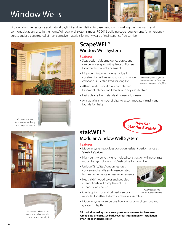# Window Wells



Bilco window well systems add natural daylight and ventilation to basement rooms, making them as warm and comfortable as any area in the home. Window well systems meet IRC 2012 building code requirements for emergency egress and are constructed of non-corrosive materials for many years of maintenance free service.





Consists of side-and step-panels that simply snap together on-site





Modules can be stacked to accommodate virtually any foundation height

### **ScapeWEL®** Window Well System

#### Features:

- **•** Step design aids emergency egress and can be landscaped with plants or flowers for added visual enhancement
- **•** High-density polyethylene molded construction will never rust, rot, or change color and is UV-stabilized for long life
- **•** Attractive driftwood color complements basement interior and blends with any architecture
- Easily cleaned with standard household cleaners
- Available in a number of sizes to accommodate virtually any foundation height



*Heavy duty molded panels feature a structural foam core for added strength and rigidity*

## **stakWEL®** Modular Window Well System

#### Features:

- **•** Modular system provides corrosion resistant performance at "steel-like" prices
- **•** High-density polyethylene molded construction will never rust, rot or change color and is UV-stabilized for long life
- **•** Unique "Grip/Step" design features convenient handle and gusseted step to meet emergency egress requirements
- **•** Neutral driftwood color and pebbled interior finish will complement the interior of any home
- **•** Overlapping ribs and tabbed inserts lock modules together to form a cohesive assembly
- Modular system can be used on foundations of ten foot and greater in depth

**Bilco window well systems are a great enhancement for basement remodeling projects. See back cover for information on installation by an independent installer.** 



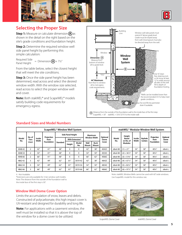





### **Selecting the Proper Size**

**Step 1:** Measure or calculate dimension  $\widehat{A}$  as shown in the detail on the right based on the site's grade conditions and foundation height.

**Step 2:** Determine the required window well side panel height by performing this simple calculation:

Required Side Panel Height = Dimension **A** + 7½"

From the table below, select the closest height that will meet the site conditions.

**Step 3:** Once the side panel height has been determined, read across and select the desired window width. With the window size selected, read across to select the proper window well and cover.

**Note:** Both stakWEL® and ScapeWEL® models satisfy building code requirements for emergency egress.



### **Standard Sizes and Model Numbers**

| ScapeWEL <sup>®</sup> Window Well System |                 |                 |                    |          |                          |              |                     |                      |                  |
|------------------------------------------|-----------------|-----------------|--------------------|----------|--------------------------|--------------|---------------------|----------------------|------------------|
|                                          | No. of<br>Tiers | Inside<br>Width | Projection<br>from |          | <b>Side Panel Height</b> |              | Maximum             |                      |                  |
| Model<br>No.                             |                 |                 |                    |          | With Extension*          |              | <b>Window Width</b> |                      | Optional<br>Dome |
|                                          | (steps)         |                 | <b>Foundation</b>  | Standard | Height                   | Model<br>No. | Wall<br>Mount       | <b>Buck</b><br>Mount | Cover            |
| 4048-42                                  | $\overline{2}$  | 42"             | 41''               | 48"      | X                        | X            | 42''                | 38''                 | 4042C            |
| 4048-54                                  | $\overline{2}$  | 54''            | 41''               | 48"      | X                        | X            | 54"                 | 50"                  | 4054C            |
| 4048-66                                  | $\overline{2}$  | 66"             | 41''               | 48"      | X                        | X            | 66''                | 62''                 | 4066C            |
| 4862-42                                  | 3               | 42"             | 49"                | 62''     | 81''                     | 3019-42      | 42''                | 38''                 | 4842C            |
| 4862-54                                  | 3               | 54''            | 49"                | 62''     | 81"                      | 3019-54      | 54"                 | 50''                 | 4854C            |
| 4862-66                                  | 3               | 66"             | 49"                | 62''     | 81''                     | 3019-66      | 66"                 | 62"                  | 4866C            |

|              | stakWEL <sup>®</sup> Modular Window Well System |                 |                           |                                         |                           |  |  |  |
|--------------|-------------------------------------------------|-----------------|---------------------------|-----------------------------------------|---------------------------|--|--|--|
| Model<br>No. | Height<br>Based<br>on No. of<br>Modules         | Inside<br>Width | Keyhole<br><b>Centers</b> | Projection<br>from<br><b>Foundation</b> | Optional<br>Dome<br>Cover |  |  |  |
| stkwl-48     | $(1) = 21"$                                     | 54''            | 58"                       | 401/4"                                  | stkwl-c                   |  |  |  |
| stkwl-48     | $(2) = 36\frac{3}{8}$                           | 54''            | 58"                       | 401/4"                                  | stkwl-c                   |  |  |  |
| stkwl-48     | $(3) = 51\frac{3}{4}$ "                         | 54''            | 58"                       | 401/4"                                  | stkwl-c                   |  |  |  |
| stkwl-48     | $(4) = 67\%$                                    | 54''            | 58"                       | 401/4"                                  | stkwl-c                   |  |  |  |
| stkwl-48     | $(5) = 82\frac{1}{2}$                           | 54''            | 58"                       | 401/4"                                  | stkwl-c                   |  |  |  |
| stkwl-48     | $(6) = 97\%$                                    | 54''            | 58"                       | 401/4"                                  | stkwl-c                   |  |  |  |

Note: stakWEL Window Wells cannot be used with 60" wide windows.

Use ScapeWEL model for this window size.

X - Not Available.

\*Extensions are only available for 3-tier window well models. Note: The distance from the outside of the foundation wall to the inside face of the first step is 30".

**Window Well Dome Cover Option**

Limits the accumulation of snow, leaves and debris. Constructed of polycarbonate, this high impact cover is UV-resistant and designed for durability and long life.

**Note:** For applications with a casement window, the well must be installed so that it is above the top of the window for a dome cover to be utilized.



*ScapeWEL Dome Cover stakWEL Dome Cover*

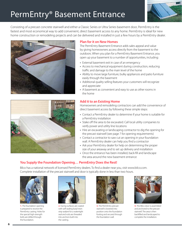# PermEntry® Basement Entrance



Consisting of a precast concrete stairwell and either a Classic Series or Ultra Series basement door, PermEntry is the fastest and most economical way to add convenient, direct basement access to any home. PermEntry is ideal for new home construction or remodeling projects and can be delivered and installed in just a few hours by a PermEntry dealer.





#### **Plan for it on New Homes**

The PermEntry Basement Entrance adds sales appeal and value by giving homeowners access directly from the basement to the outdoors. When you plan for a PermEntry Basement Entrance, you open up your basement to a number of opportunities, including:

- **•** External basement exit in case of an emergency
- **•** Access to mechanical equipment during construction, reducing traffic and damage to the main level of the home
- **•** Ability to move large furniture, bulky appliances and patio furniture easily through the basement
- **•** Additional quality selling features your customers will recognize and appreciate
- **•** A basement as convenient and easy to use as other rooms in the home

#### **Add it to an Existing Home**

Homeowners and remodeling contractors can add the convenience of direct basement access by following these simple steps:

- **•** Contact a PermEntry dealer to determine if your home is suitable for a PermEntry installation
- Stake off the area to be excavated. Call local utility companies to verify power and utility line locations
- **•** Hire an excavating or landscaping contractor to dig the opening for the precast stairwell (see page 7 for opening requirements)
- **•** Contact a contractor to saw cut an opening in your foundation wall. A PermEntry dealer can help you find a contractor
- **•** Ask your PermEntry dealer for help on determining the proper size of your areaway and to set up delivery and installation
- **•** Once the entrance has been installed, back-fill and landscape the area around the new basement entrance

### **You Supply the Foundation Opening… PermEntry Does the Rest!**

Bilco has a national network of licensed PermEntry dealers. To find a dealer near you, visit www.bilco.com. Complete installation of the precast stairwell and door is typically done in less than two hours.



**1.** The foundation opening is prepared to receive the PermEntry casting. Holes for the special high-strength bolts are drilled through the foundation.



**2.** Facing surfaces are coated with self-sealing butyl resin strip sealant for a watertight seal and rods are threaded into anchors built into the casting.



**3.** The PermEntry precast stairwell is lowered into position onto the foundation footing and secured through the foundation wall.



**4.** The Bilco door is assembled and anchored to the precast stairwell. The area is then backfilled and landscaped to complete the installation.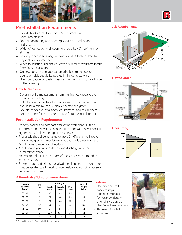



- 1. Provide truck access to within 10' of the center of PermEntry stairwell.
- 2. Foundation footing and opening should be level, plumb and square.
- 3. Width of foundation wall opening should be 40" maximum for all sizes.
- 4. Ensure proper soil drainage at base of unit. A footing drain to daylight is recommended.
- 5. When foundation is backfilled, leave a minimum work area for the PermEntry installation.
- 6. On new construction applications, the basement floor or equivalent slab should be poured in the concrete wall.
- 7. Hold foundation tar coating back a minimum of 12" on each side of the opening.

#### **How To Measure**

- 1. Determine the measurement from the finished grade to the foundation footing.
- 2. Refer to table below to select proper size. Top of stairwell unit should be a minimum of 2" above the finished grade.
- 3. Double-check pre-installation requirements and assure there is adequate area for truck access to and from the installation site.

#### **Post-Installation Requirements**

- Properly backfill and compact excavation with clean, suitable fill and/or stone. Never use construction debris and never backfill higher than 2" below the top of the stairwell
- Final grade should be adjusted to leave 2" 6" of stairwell above the finished grade. Immediately slope the grade away from the PermEntry entrance in all directions
- Avoid locating down spouts or sump discharge near the PermEntry entrance
- An insulated door at the bottom of the stairs is recommended to reduce heat loss
- **•** For steel doors, a finish coat of alkyd metal enamel in a light color must be applied to all metal surfaces inside and out. Do not use an oil-based wood paint

### **A PermEntry® Unit for Every Home...**

| Footing              | PE             |                    | Casting (C)        | Door (D)          |                    |
|----------------------|----------------|--------------------|--------------------|-------------------|--------------------|
| to Grade<br>(inches) | <b>Size</b>    | Height<br>(inches) | Length<br>(inches) | Width<br>(inches) | Height<br>(inches) |
| $35 - 41$            | S              | 43                 | 45                 | $51\frac{1}{2}$   | 52                 |
| $52 - 58$            | O              | 60                 | 60                 | $51\frac{1}{2}$   | 30                 |
| $59 - 66$            | B              | 68                 | 66                 | $55\%$            | 22                 |
| $67 - 74$            | $C^*$          | 76                 | 74                 | $55\%$            | 19 <sub>2</sub>    |
| $75 - 82$            | D <sup>*</sup> | 84                 | 86                 | 551/2             | 22                 |
| $83 - 91$            | E*             | 92%                | $95\frac{3}{8}$    | 58                | 22                 |
| $92 - 99$            | F*             | 101                | 104                | 58                | 22                 |

\* Optional Ultra Series Door available for these sizes.

#### **Job Requirements**



#### **How to Order**



#### **Door Sizing**



#### Features:

- One-piece pre-cast concrete steps, thoroughly vibrated for maximum density
- Original Bilco Classic or Ultra Series basement door
- Thousands installed since 1960